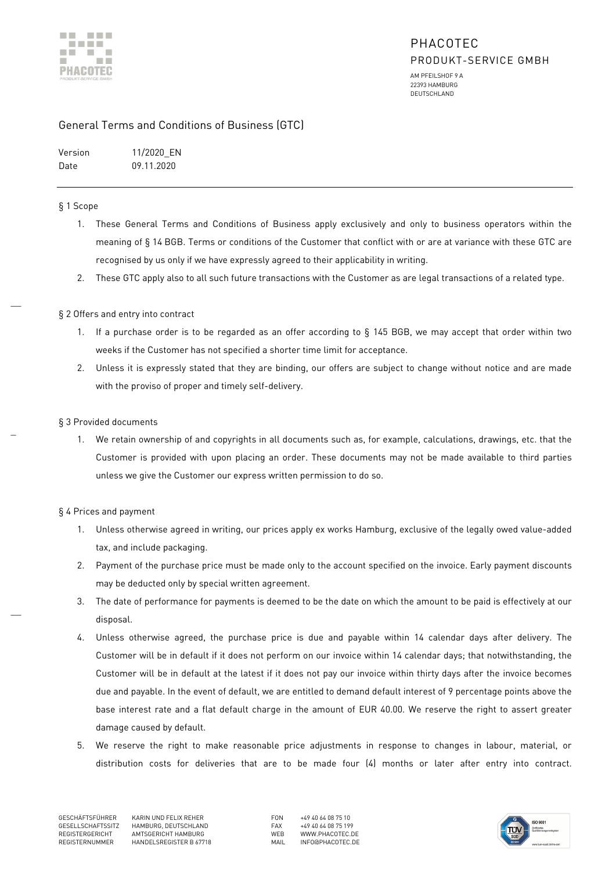

22393 HAMBURG DEUTSCHLAND

### General Terms and Conditions of Business (GTC)

Version 11/2020\_EN Date 09.11.2020

#### § 1 Scope

 $\overline{\phantom{a}}$ 

\_

 $\overline{a}$ 

- 1. These General Terms and Conditions of Business apply exclusively and only to business operators within the meaning of § 14 BGB. Terms or conditions of the Customer that conflict with or are at variance with these GTC are recognised by us only if we have expressly agreed to their applicability in writing.
- 2. These GTC apply also to all such future transactions with the Customer as are legal transactions of a related type.

### § 2 Offers and entry into contract

- 1. If a purchase order is to be regarded as an offer according to § 145 BGB, we may accept that order within two weeks if the Customer has not specified a shorter time limit for acceptance.
- 2. Unless it is expressly stated that they are binding, our offers are subject to change without notice and are made with the proviso of proper and timely self-delivery.

### § 3 Provided documents

1. We retain ownership of and copyrights in all documents such as, for example, calculations, drawings, etc. that the Customer is provided with upon placing an order. These documents may not be made available to third parties unless we give the Customer our express written permission to do so.

### § 4 Prices and payment

- 1. Unless otherwise agreed in writing, our prices apply ex works Hamburg, exclusive of the legally owed value-added tax, and include packaging.
- 2. Payment of the purchase price must be made only to the account specified on the invoice. Early payment discounts may be deducted only by special written agreement.
- 3. The date of performance for payments is deemed to be the date on which the amount to be paid is effectively at our disposal.
- 4. Unless otherwise agreed, the purchase price is due and payable within 14 calendar days after delivery. The Customer will be in default if it does not perform on our invoice within 14 calendar days; that notwithstanding, the Customer will be in default at the latest if it does not pay our invoice within thirty days after the invoice becomes due and payable. In the event of default, we are entitled to demand default interest of 9 percentage points above the base interest rate and a flat default charge in the amount of EUR 40.00. We reserve the right to assert greater damage caused by default.
- 5. We reserve the right to make reasonable price adjustments in response to changes in labour, material, or distribution costs for deliveries that are to be made four (4) months or later after entry into contract.

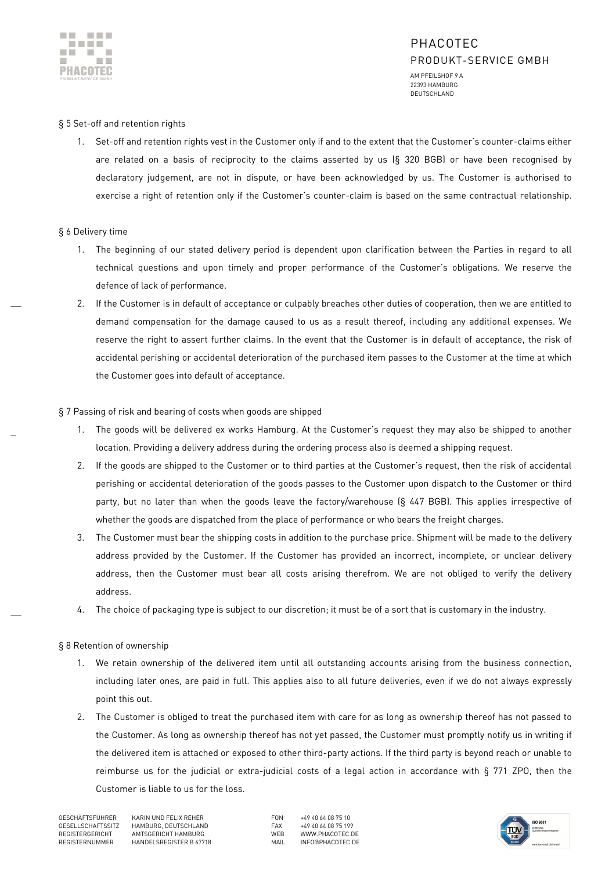

# PHACOTEC PRODUKT-SERVICE GMBH

AM PFEILSHOF 9 A 22393 HAMBURG DEUTSCHLAND

#### § 5 Set-off and retention rights

1. Set-off and retention rights vest in the Customer only if and to the extent that the Customer's counter-claims either are related on a basis of reciprocity to the claims asserted by us (§ 320 BGB) or have been recognised by declaratory judgement, are not in dispute, or have been acknowledged by us. The Customer is authorised to exercise a right of retention only if the Customer's counter-claim is based on the same contractual relationship.

#### § 6 Delivery time

 $\overline{\phantom{a}}$ 

\_

 $\overline{a}$ 

- 1. The beginning of our stated delivery period is dependent upon clarification between the Parties in regard to all technical questions and upon timely and proper performance of the Customer's obligations. We reserve the defence of lack of performance.
- 2. If the Customer is in default of acceptance or culpably breaches other duties of cooperation, then we are entitled to demand compensation for the damage caused to us as a result thereof, including any additional expenses. We reserve the right to assert further claims. In the event that the Customer is in default of acceptance, the risk of accidental perishing or accidental deterioration of the purchased item passes to the Customer at the time at which the Customer goes into default of acceptance.

#### § 7 Passing of risk and bearing of costs when goods are shipped

- 1. The goods will be delivered ex works Hamburg. At the Customer's request they may also be shipped to another location. Providing a delivery address during the ordering process also is deemed a shipping request.
- 2. If the goods are shipped to the Customer or to third parties at the Customer's request, then the risk of accidental perishing or accidental deterioration of the goods passes to the Customer upon dispatch to the Customer or third party, but no later than when the goods leave the factory/warehouse (§ 447 BGB). This applies irrespective of whether the goods are dispatched from the place of performance or who bears the freight charges.
- 3. The Customer must bear the shipping costs in addition to the purchase price. Shipment will be made to the delivery address provided by the Customer. If the Customer has provided an incorrect, incomplete, or unclear delivery address, then the Customer must bear all costs arising therefrom. We are not obliged to verify the delivery address.
- 4. The choice of packaging type is subject to our discretion; it must be of a sort that is customary in the industry.

#### § 8 Retention of ownership

- 1. We retain ownership of the delivered item until all outstanding accounts arising from the business connection, including later ones, are paid in full. This applies also to all future deliveries, even if we do not always expressly point this out.
- 2. The Customer is obliged to treat the purchased item with care for as long as ownership thereof has not passed to the Customer. As long as ownership thereof has not yet passed, the Customer must promptly notify us in writing if the delivered item is attached or exposed to other third-party actions. If the third party is beyond reach or unable to reimburse us for the judicial or extra-judicial costs of a legal action in accordance with § 771 ZPO, then the Customer is liable to us for the loss.

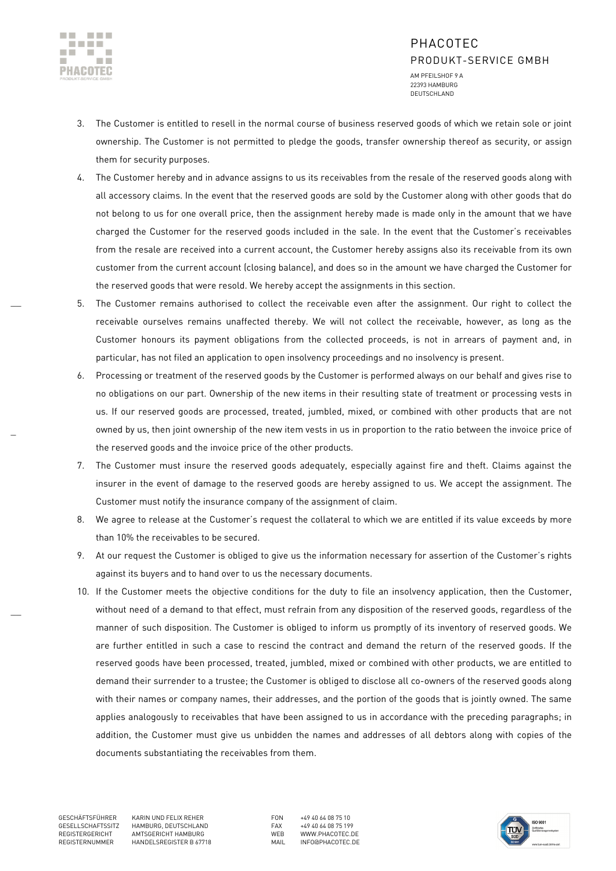

 $\overline{\phantom{a}}$ 

\_

 $\overline{a}$ 

# PHACOTEC PRODUKT-SERVICE GMBH

AM PFEILSHOF 9 A 22393 HAMBURG DEUTSCHLAND

- 3. The Customer is entitled to resell in the normal course of business reserved goods of which we retain sole or joint ownership. The Customer is not permitted to pledge the goods, transfer ownership thereof as security, or assign them for security purposes.
- 4. The Customer hereby and in advance assigns to us its receivables from the resale of the reserved goods along with all accessory claims. In the event that the reserved goods are sold by the Customer along with other goods that do not belong to us for one overall price, then the assignment hereby made is made only in the amount that we have charged the Customer for the reserved goods included in the sale. In the event that the Customer's receivables from the resale are received into a current account, the Customer hereby assigns also its receivable from its own customer from the current account (closing balance), and does so in the amount we have charged the Customer for the reserved goods that were resold. We hereby accept the assignments in this section.
- 5. The Customer remains authorised to collect the receivable even after the assignment. Our right to collect the receivable ourselves remains unaffected thereby. We will not collect the receivable, however, as long as the Customer honours its payment obligations from the collected proceeds, is not in arrears of payment and, in particular, has not filed an application to open insolvency proceedings and no insolvency is present.
- 6. Processing or treatment of the reserved goods by the Customer is performed always on our behalf and gives rise to no obligations on our part. Ownership of the new items in their resulting state of treatment or processing vests in us. If our reserved goods are processed, treated, jumbled, mixed, or combined with other products that are not owned by us, then joint ownership of the new item vests in us in proportion to the ratio between the invoice price of the reserved goods and the invoice price of the other products.
- 7. The Customer must insure the reserved goods adequately, especially against fire and theft. Claims against the insurer in the event of damage to the reserved goods are hereby assigned to us. We accept the assignment. The Customer must notify the insurance company of the assignment of claim.
- 8. We agree to release at the Customer's request the collateral to which we are entitled if its value exceeds by more than 10% the receivables to be secured.
- 9. At our request the Customer is obliged to give us the information necessary for assertion of the Customer's rights against its buyers and to hand over to us the necessary documents.
- 10. If the Customer meets the objective conditions for the duty to file an insolvency application, then the Customer, without need of a demand to that effect, must refrain from any disposition of the reserved goods, regardless of the manner of such disposition. The Customer is obliged to inform us promptly of its inventory of reserved goods. We are further entitled in such a case to rescind the contract and demand the return of the reserved goods. If the reserved goods have been processed, treated, jumbled, mixed or combined with other products, we are entitled to demand their surrender to a trustee; the Customer is obliged to disclose all co-owners of the reserved goods along with their names or company names, their addresses, and the portion of the goods that is jointly owned. The same applies analogously to receivables that have been assigned to us in accordance with the preceding paragraphs; in addition, the Customer must give us unbidden the names and addresses of all debtors along with copies of the documents substantiating the receivables from them.

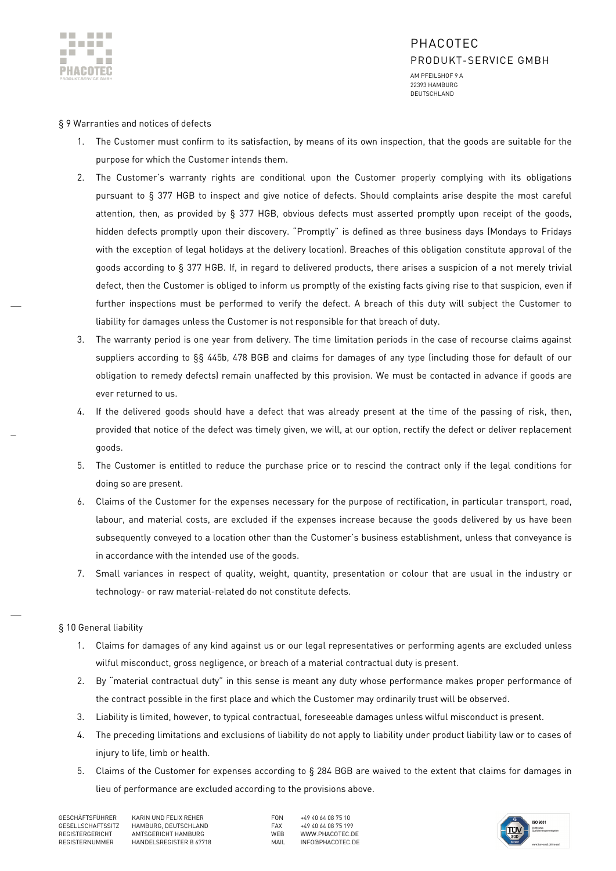

 $\overline{\phantom{a}}$ 

\_

 $\overline{a}$ 

# PHACOTEC PRODUKT-SERVICE GMBH AM PFEILSHOF 9 A

22393 HAMBURG DEUTSCHLAND

## § 9 Warranties and notices of defects

- 1. The Customer must confirm to its satisfaction, by means of its own inspection, that the goods are suitable for the purpose for which the Customer intends them.
- 2. The Customer's warranty rights are conditional upon the Customer properly complying with its obligations pursuant to § 377 HGB to inspect and give notice of defects. Should complaints arise despite the most careful attention, then, as provided by § 377 HGB, obvious defects must asserted promptly upon receipt of the goods, hidden defects promptly upon their discovery. "Promptly" is defined as three business days (Mondays to Fridays with the exception of legal holidays at the delivery location). Breaches of this obligation constitute approval of the goods according to § 377 HGB. If, in regard to delivered products, there arises a suspicion of a not merely trivial defect, then the Customer is obliged to inform us promptly of the existing facts giving rise to that suspicion, even if further inspections must be performed to verify the defect. A breach of this duty will subject the Customer to liability for damages unless the Customer is not responsible for that breach of duty.
- 3. The warranty period is one year from delivery. The time limitation periods in the case of recourse claims against suppliers according to §§ 445b, 478 BGB and claims for damages of any type (including those for default of our obligation to remedy defects) remain unaffected by this provision. We must be contacted in advance if goods are ever returned to us.
- 4. If the delivered goods should have a defect that was already present at the time of the passing of risk, then, provided that notice of the defect was timely given, we will, at our option, rectify the defect or deliver replacement goods.
- 5. The Customer is entitled to reduce the purchase price or to rescind the contract only if the legal conditions for doing so are present.
- 6. Claims of the Customer for the expenses necessary for the purpose of rectification, in particular transport, road, labour, and material costs, are excluded if the expenses increase because the goods delivered by us have been subsequently conveyed to a location other than the Customer's business establishment, unless that conveyance is in accordance with the intended use of the goods.
- 7. Small variances in respect of quality, weight, quantity, presentation or colour that are usual in the industry or technology- or raw material-related do not constitute defects.

# § 10 General liability

- 1. Claims for damages of any kind against us or our legal representatives or performing agents are excluded unless wilful misconduct, gross negligence, or breach of a material contractual duty is present.
- 2. By "material contractual duty" in this sense is meant any duty whose performance makes proper performance of the contract possible in the first place and which the Customer may ordinarily trust will be observed.
- 3. Liability is limited, however, to typical contractual, foreseeable damages unless wilful misconduct is present.
- 4. The preceding limitations and exclusions of liability do not apply to liability under product liability law or to cases of injury to life, limb or health.
- 5. Claims of the Customer for expenses according to § 284 BGB are waived to the extent that claims for damages in lieu of performance are excluded according to the provisions above.